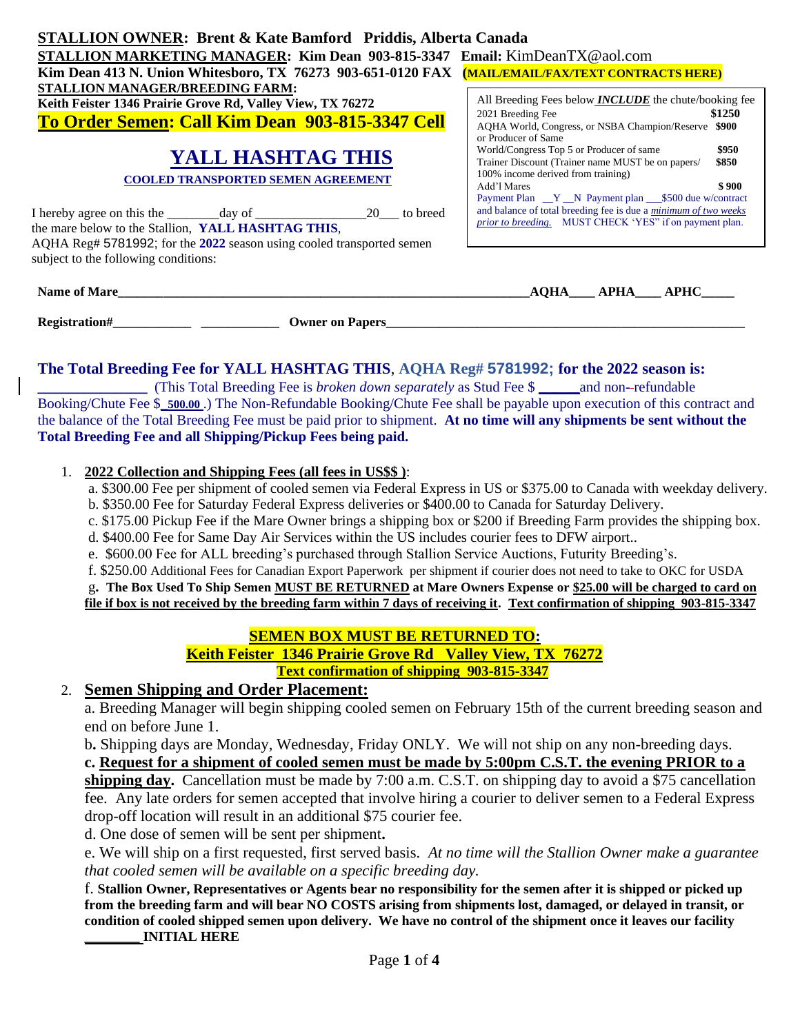| <b>STALLION OWNER: Brent &amp; Kate Bamford Priddis, Alberta Canada</b>                                                                                                               |                                                                                                                                                                                                                                                              |  |  |  |
|---------------------------------------------------------------------------------------------------------------------------------------------------------------------------------------|--------------------------------------------------------------------------------------------------------------------------------------------------------------------------------------------------------------------------------------------------------------|--|--|--|
| STALLION MARKETING MANAGER: Kim Dean 903-815-3347 Email: KimDeanTX@aol.com                                                                                                            |                                                                                                                                                                                                                                                              |  |  |  |
| Kim Dean 413 N. Union Whitesboro, TX 76273 903-651-0120 FAX (MAIL/EMAIL/FAX/TEXT CONTRACTS HERE)                                                                                      |                                                                                                                                                                                                                                                              |  |  |  |
| STALLION MANAGER/BREEDING FARM:<br>Keith Feister 1346 Prairie Grove Rd, Valley View, TX 76272<br>To Order Semen: Call Kim Dean 903-815-3347 Cell                                      | All Breeding Fees below <i>INCLUDE</i> the chute/booking fee<br>\$1250<br>2021 Breeding Fee                                                                                                                                                                  |  |  |  |
| <b>YALL HASHTAG THIS</b><br><b>COOLED TRANSPORTED SEMEN AGREEMENT</b>                                                                                                                 | AOHA World, Congress, or NSBA Champion/Reserve \$900<br>or Producer of Same<br>\$950<br>World/Congress Top 5 or Producer of same<br>Trainer Discount (Trainer name MUST be on papers/<br>\$850<br>100% income derived from training)<br>\$900<br>Add'l Mares |  |  |  |
| 20<br>to breed<br>the mare below to the Stallion, YALL HASHTAG THIS,<br>AQHA Reg# 5781992; for the 2022 season using cooled transported semen<br>subject to the following conditions: | Payment Plan __Y __ N Payment plan ___\$500 due w/contract<br>and balance of total breeding fee is due a <i>minimum of two weeks</i><br>prior to breeding. MUST CHECK 'YES" if on payment plan.                                                              |  |  |  |
|                                                                                                                                                                                       |                                                                                                                                                                                                                                                              |  |  |  |

| <b>Name of Mare</b> |                        | $\Omega$ <sub>A</sub> | . dhl |
|---------------------|------------------------|-----------------------|-------|
| Registration#       | <b>Owner on Papers</b> |                       |       |

### **The Total Breeding Fee for YALL HASHTAG THIS**, **AQHA Reg# 5781992; for the 2022 season is:**

**\_\_\_\_\_\_\_\_\_\_\_\_\_\_** (This Total Breeding Fee is *broken down separately* as Stud Fee \$ **\_\_\_\_\_\_\_**and non- refundable Booking/Chute Fee \$**\_500.00** .) The Non-Refundable Booking/Chute Fee shall be payable upon execution of this contract and the balance of the Total Breeding Fee must be paid prior to shipment. **At no time will any shipments be sent without the Total Breeding Fee and all Shipping/Pickup Fees being paid.** 

#### 1. **2022 Collection and Shipping Fees (all fees in US\$\$ )**:

a. \$300.00 Fee per shipment of cooled semen via Federal Express in US or \$375.00 to Canada with weekday delivery. b. \$350.00 Fee for Saturday Federal Express deliveries or \$400.00 to Canada for Saturday Delivery.

- c. \$175.00 Pickup Fee if the Mare Owner brings a shipping box or \$200 if Breeding Farm provides the shipping box.
- d. \$400.00 Fee for Same Day Air Services within the US includes courier fees to DFW airport..
- e. \$600.00 Fee for ALL breeding's purchased through Stallion Service Auctions, Futurity Breeding's.
- f. \$250.00 Additional Fees for Canadian Export Paperwork per shipment if courier does not need to take to OKC for USDA

g**. The Box Used To Ship Semen MUST BE RETURNED at Mare Owners Expense or \$25.00 will be charged to card on file if box is not received by the breeding farm within 7 days of receiving it. Text confirmation of shipping 903-815-3347**

## **SEMEN BOX MUST BE RETURNED TO:**

 **Keith Feister 1346 Prairie Grove Rd Valley View, TX 76272 Text confirmation of shipping 903-815-3347**

# 2. **Semen Shipping and Order Placement:**

a. Breeding Manager will begin shipping cooled semen on February 15th of the current breeding season and end on before June 1.

b**.** Shipping days are Monday, Wednesday, Friday ONLY. We will not ship on any non-breeding days.

**c. Request for a shipment of cooled semen must be made by 5:00pm C.S.T. the evening PRIOR to a** 

**shipping day.** Cancellation must be made by 7:00 a.m. C.S.T. on shipping day to avoid a \$75 cancellation fee. Any late orders for semen accepted that involve hiring a courier to deliver semen to a Federal Express drop-off location will result in an additional \$75 courier fee.

d. One dose of semen will be sent per shipment**.**

e. We will ship on a first requested, first served basis. *At no time will the Stallion Owner make a guarantee that cooled semen will be available on a specific breeding day.*

f. **Stallion Owner, Representatives or Agents bear no responsibility for the semen after it is shipped or picked up from the breeding farm and will bear NO COSTS arising from shipments lost, damaged, or delayed in transit, or condition of cooled shipped semen upon delivery. We have no control of the shipment once it leaves our facility \_\_\_\_\_\_\_\_ INITIAL HERE**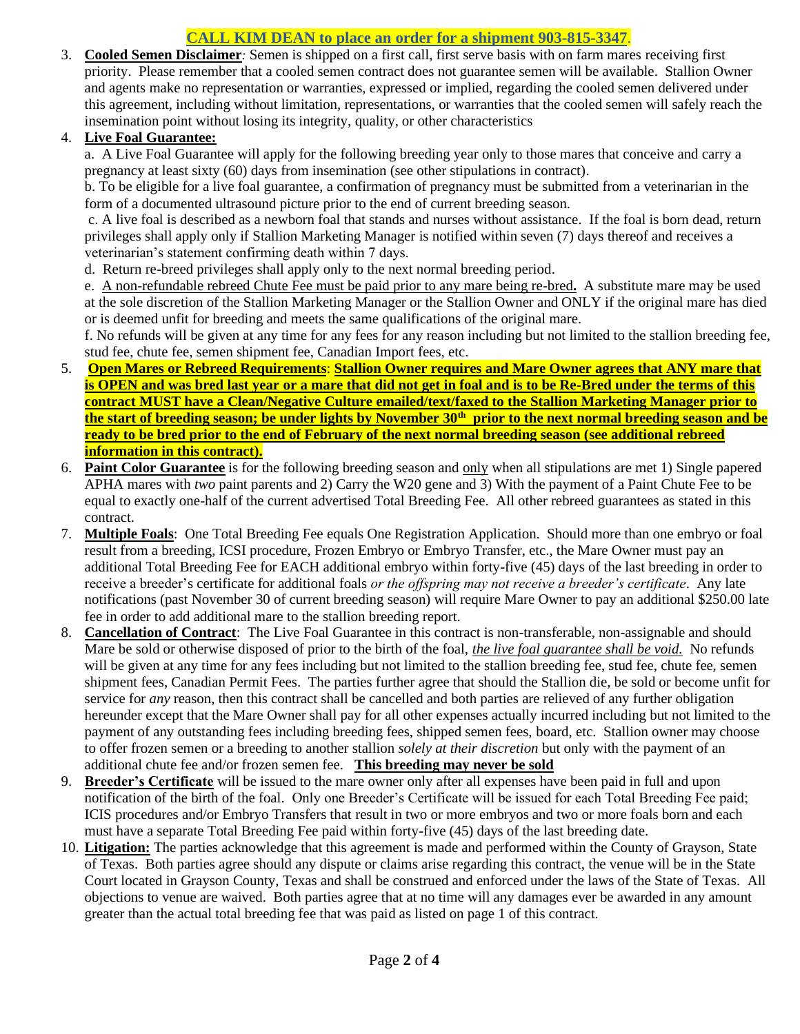# **CALL KIM DEAN to place an order for a shipment 903-815-3347**.

3. **Cooled Semen Disclaimer***:* Semen is shipped on a first call, first serve basis with on farm mares receiving first priority. Please remember that a cooled semen contract does not guarantee semen will be available. Stallion Owner and agents make no representation or warranties, expressed or implied, regarding the cooled semen delivered under this agreement, including without limitation, representations, or warranties that the cooled semen will safely reach the insemination point without losing its integrity, quality, or other characteristics

### 4. **Live Foal Guarantee:**

a. A Live Foal Guarantee will apply for the following breeding year only to those mares that conceive and carry a pregnancy at least sixty (60) days from insemination (see other stipulations in contract).

b. To be eligible for a live foal guarantee, a confirmation of pregnancy must be submitted from a veterinarian in the form of a documented ultrasound picture prior to the end of current breeding season.

c. A live foal is described as a newborn foal that stands and nurses without assistance. If the foal is born dead, return privileges shall apply only if Stallion Marketing Manager is notified within seven (7) days thereof and receives a veterinarian's statement confirming death within 7 days.

d. Return re-breed privileges shall apply only to the next normal breeding period.

e. A non-refundable rebreed Chute Fee must be paid prior to any mare being re-bred**.** A substitute mare may be used at the sole discretion of the Stallion Marketing Manager or the Stallion Owner and ONLY if the original mare has died or is deemed unfit for breeding and meets the same qualifications of the original mare.

f. No refunds will be given at any time for any fees for any reason including but not limited to the stallion breeding fee, stud fee, chute fee, semen shipment fee, Canadian Import fees, etc.

- 5. **Open Mares or Rebreed Requirements**: **Stallion Owner requires and Mare Owner agrees that ANY mare that is OPEN and was bred last year or a mare that did not get in foal and is to be Re-Bred under the terms of this contract MUST have a Clean/Negative Culture emailed/text/faxed to the Stallion Marketing Manager prior to the start of breeding season; be under lights by November 30th prior to the next normal breeding season and be ready to be bred prior to the end of February of the next normal breeding season (see additional rebreed information in this contract).**
- 6. **Paint Color Guarantee** is for the following breeding season and only when all stipulations are met 1) Single papered APHA mares with *two* paint parents and 2) Carry the W20 gene and 3) With the payment of a Paint Chute Fee to be equal to exactly one-half of the current advertised Total Breeding Fee. All other rebreed guarantees as stated in this contract.
- 7. **Multiple Foals**: One Total Breeding Fee equals One Registration Application. Should more than one embryo or foal result from a breeding, ICSI procedure, Frozen Embryo or Embryo Transfer, etc., the Mare Owner must pay an additional Total Breeding Fee for EACH additional embryo within forty-five (45) days of the last breeding in order to receive a breeder's certificate for additional foals *or the offspring may not receive a breeder's certificate*. Any late notifications (past November 30 of current breeding season) will require Mare Owner to pay an additional \$250.00 late fee in order to add additional mare to the stallion breeding report.
- 8. **Cancellation of Contract**: The Live Foal Guarantee in this contract is non-transferable, non-assignable and should Mare be sold or otherwise disposed of prior to the birth of the foal, *the live foal guarantee shall be void.* No refunds will be given at any time for any fees including but not limited to the stallion breeding fee, stud fee, chute fee, semen shipment fees, Canadian Permit Fees. The parties further agree that should the Stallion die, be sold or become unfit for service for *any* reason, then this contract shall be cancelled and both parties are relieved of any further obligation hereunder except that the Mare Owner shall pay for all other expenses actually incurred including but not limited to the payment of any outstanding fees including breeding fees, shipped semen fees, board, etc. Stallion owner may choose to offer frozen semen or a breeding to another stallion *solely at their discretion* but only with the payment of an additional chute fee and/or frozen semen fee. **This breeding may never be sold**
- 9. **Breeder's Certificate** will be issued to the mare owner only after all expenses have been paid in full and upon notification of the birth of the foal. Only one Breeder's Certificate will be issued for each Total Breeding Fee paid; ICIS procedures and/or Embryo Transfers that result in two or more embryos and two or more foals born and each must have a separate Total Breeding Fee paid within forty-five (45) days of the last breeding date.
- 10. **Litigation:** The parties acknowledge that this agreement is made and performed within the County of Grayson, State of Texas. Both parties agree should any dispute or claims arise regarding this contract, the venue will be in the State Court located in Grayson County, Texas and shall be construed and enforced under the laws of the State of Texas. All objections to venue are waived. Both parties agree that at no time will any damages ever be awarded in any amount greater than the actual total breeding fee that was paid as listed on page 1 of this contract.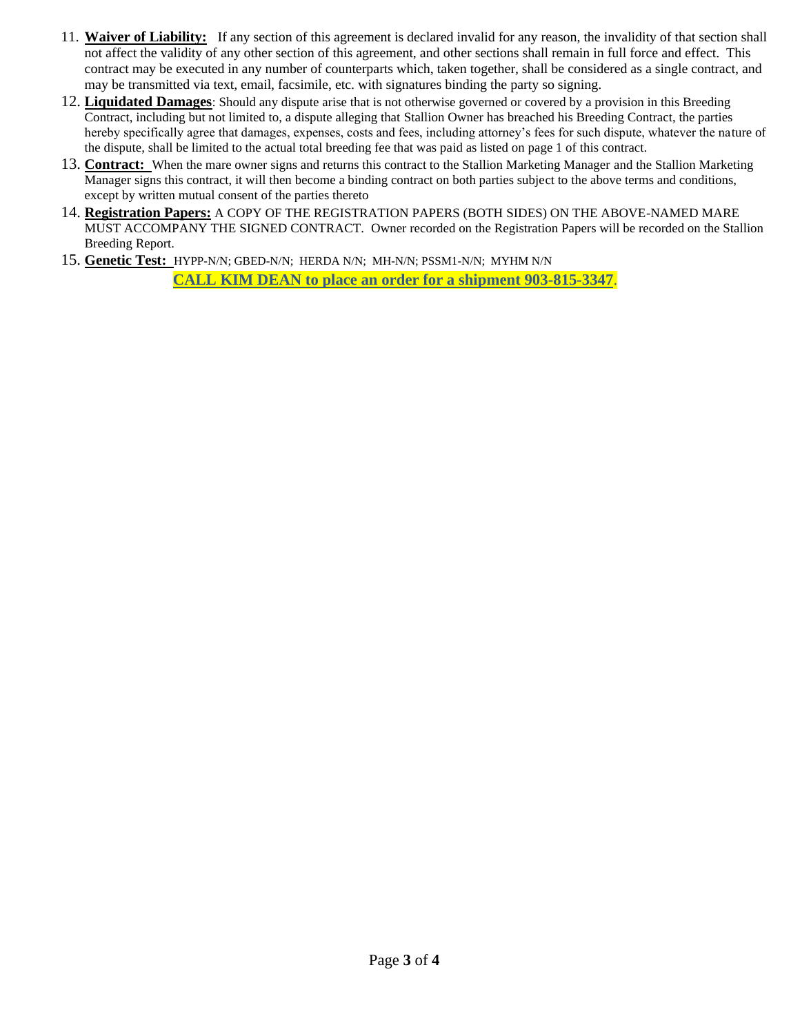- 11. **Waiver of Liability:** If any section of this agreement is declared invalid for any reason, the invalidity of that section shall not affect the validity of any other section of this agreement, and other sections shall remain in full force and effect. This contract may be executed in any number of counterparts which, taken together, shall be considered as a single contract, and may be transmitted via text, email, facsimile, etc. with signatures binding the party so signing.
- 12. **Liquidated Damages**: Should any dispute arise that is not otherwise governed or covered by a provision in this Breeding Contract, including but not limited to, a dispute alleging that Stallion Owner has breached his Breeding Contract, the parties hereby specifically agree that damages, expenses, costs and fees, including attorney's fees for such dispute, whatever the nature of the dispute, shall be limited to the actual total breeding fee that was paid as listed on page 1 of this contract.
- 13. **Contract:** When the mare owner signs and returns this contract to the Stallion Marketing Manager and the Stallion Marketing Manager signs this contract, it will then become a binding contract on both parties subject to the above terms and conditions, except by written mutual consent of the parties thereto
- 14. **Registration Papers:** A COPY OF THE REGISTRATION PAPERS (BOTH SIDES) ON THE ABOVE-NAMED MARE MUST ACCOMPANY THE SIGNED CONTRACT. Owner recorded on the Registration Papers will be recorded on the Stallion Breeding Report.
- 15. **Genetic Test:** HYPP-N/N; GBED-N/N; HERDA N/N; MH-N/N; PSSM1-N/N; MYHM N/N

**CALL KIM DEAN to place an order for a shipment 903-815-3347**.